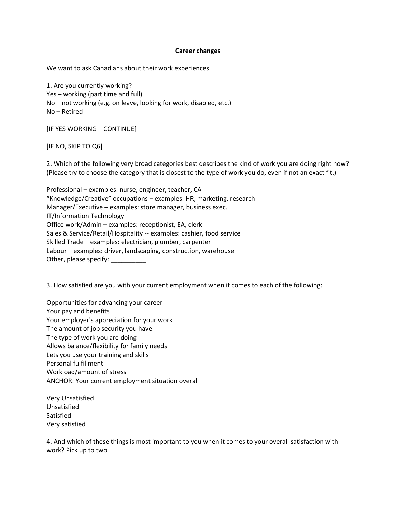## **Career changes**

We want to ask Canadians about their work experiences.

1. Are you currently working? Yes – working (part time and full) No – not working (e.g. on leave, looking for work, disabled, etc.) No – Retired

[IF YES WORKING – CONTINUE]

[IF NO, SKIP TO Q6]

2. Which of the following very broad categories best describes the kind of work you are doing right now? (Please try to choose the category that is closest to the type of work you do, even if not an exact fit.)

Professional – examples: nurse, engineer, teacher, CA "Knowledge/Creative" occupations – examples: HR, marketing, research Manager/Executive – examples: store manager, business exec. IT/Information Technology Office work/Admin – examples: receptionist, EA, clerk Sales & Service/Retail/Hospitality -- examples: cashier, food service Skilled Trade – examples: electrician, plumber, carpenter Labour – examples: driver, landscaping, construction, warehouse Other, please specify: \_\_\_\_\_\_\_\_\_\_\_

3. How satisfied are you with your current employment when it comes to each of the following:

Opportunities for advancing your career Your pay and benefits Your employer's appreciation for your work The amount of job security you have The type of work you are doing Allows balance/flexibility for family needs Lets you use your training and skills Personal fulfillment Workload/amount of stress ANCHOR: Your current employment situation overall

Very Unsatisfied Unsatisfied Satisfied Very satisfied

4. And which of these things is most important to you when it comes to your overall satisfaction with work? Pick up to two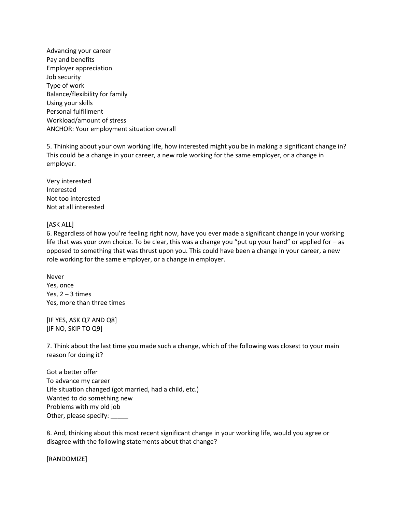Advancing your career Pay and benefits Employer appreciation Job security Type of work Balance/flexibility for family Using your skills Personal fulfillment Workload/amount of stress ANCHOR: Your employment situation overall

5. Thinking about your own working life, how interested might you be in making a significant change in? This could be a change in your career, a new role working for the same employer, or a change in employer.

Very interested Interested Not too interested Not at all interested

## [ASK ALL]

6. Regardless of how you're feeling right now, have you ever made a significant change in your working life that was your own choice. To be clear, this was a change you "put up your hand" or applied for – as opposed to something that was thrust upon you. This could have been a change in your career, a new role working for the same employer, or a change in employer.

Never Yes, once Yes,  $2 - 3$  times Yes, more than three times

[IF YES, ASK Q7 AND Q8] [IF NO, SKIP TO Q9]

7. Think about the last time you made such a change, which of the following was closest to your main reason for doing it?

Got a better offer To advance my career Life situation changed (got married, had a child, etc.) Wanted to do something new Problems with my old job Other, please specify:

8. And, thinking about this most recent significant change in your working life, would you agree or disagree with the following statements about that change?

[RANDOMIZE]